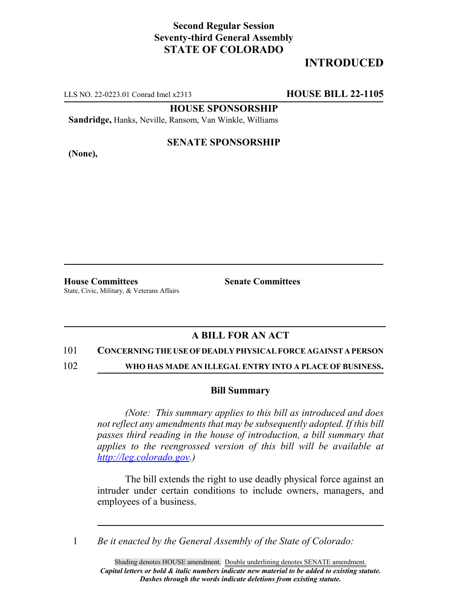## **Second Regular Session Seventy-third General Assembly STATE OF COLORADO**

# **INTRODUCED**

LLS NO. 22-0223.01 Conrad Imel x2313 **HOUSE BILL 22-1105**

**HOUSE SPONSORSHIP**

**Sandridge,** Hanks, Neville, Ransom, Van Winkle, Williams

**(None),**

### **SENATE SPONSORSHIP**

**House Committees Senate Committees** State, Civic, Military, & Veterans Affairs

### **A BILL FOR AN ACT**

#### 101 **CONCERNING THE USE OF DEADLY PHYSICAL FORCE AGAINST A PERSON**

102 **WHO HAS MADE AN ILLEGAL ENTRY INTO A PLACE OF BUSINESS.**

#### **Bill Summary**

*(Note: This summary applies to this bill as introduced and does not reflect any amendments that may be subsequently adopted. If this bill passes third reading in the house of introduction, a bill summary that applies to the reengrossed version of this bill will be available at http://leg.colorado.gov.)*

The bill extends the right to use deadly physical force against an intruder under certain conditions to include owners, managers, and employees of a business.

1 *Be it enacted by the General Assembly of the State of Colorado:*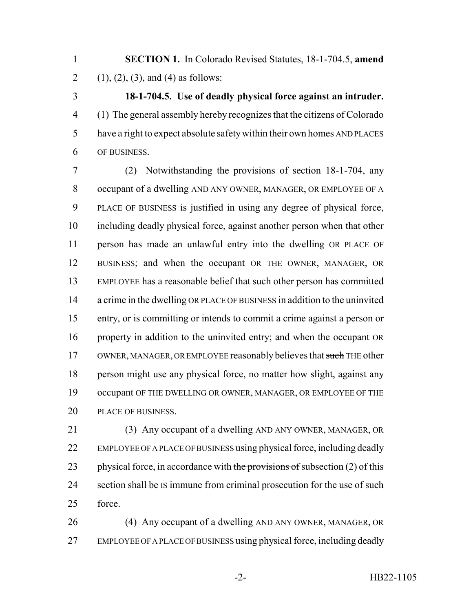**SECTION 1.** In Colorado Revised Statutes, 18-1-704.5, **amend** 2 (1), (2), (3), and (4) as follows:

 **18-1-704.5. Use of deadly physical force against an intruder.** (1) The general assembly hereby recognizes that the citizens of Colorado 5 have a right to expect absolute safety within their own homes AND PLACES OF BUSINESS.

 (2) Notwithstanding the provisions of section 18-1-704, any occupant of a dwelling AND ANY OWNER, MANAGER, OR EMPLOYEE OF A PLACE OF BUSINESS is justified in using any degree of physical force, including deadly physical force, against another person when that other person has made an unlawful entry into the dwelling OR PLACE OF BUSINESS; and when the occupant OR THE OWNER, MANAGER, OR EMPLOYEE has a reasonable belief that such other person has committed a crime in the dwelling OR PLACE OF BUSINESS in addition to the uninvited entry, or is committing or intends to commit a crime against a person or property in addition to the uninvited entry; and when the occupant OR 17 OWNER, MANAGER, OR EMPLOYEE reasonably believes that such THE other person might use any physical force, no matter how slight, against any occupant OF THE DWELLING OR OWNER, MANAGER, OR EMPLOYEE OF THE PLACE OF BUSINESS.

 (3) Any occupant of a dwelling AND ANY OWNER, MANAGER, OR EMPLOYEE OF A PLACE OF BUSINESS using physical force, including deadly 23 physical force, in accordance with the provisions of subsection  $(2)$  of this 24 section shall be IS immune from criminal prosecution for the use of such force.

 (4) Any occupant of a dwelling AND ANY OWNER, MANAGER, OR EMPLOYEE OF A PLACE OF BUSINESS using physical force, including deadly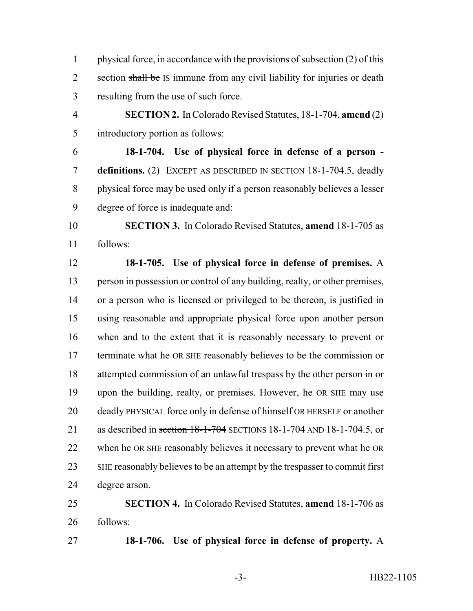1 physical force, in accordance with the provisions of subsection  $(2)$  of this 2 section shall be IS immune from any civil liability for injuries or death resulting from the use of such force.

 **SECTION 2.** In Colorado Revised Statutes, 18-1-704, **amend** (2) introductory portion as follows:

 **18-1-704. Use of physical force in defense of a person - definitions.** (2) EXCEPT AS DESCRIBED IN SECTION 18-1-704.5, deadly physical force may be used only if a person reasonably believes a lesser degree of force is inadequate and:

 **SECTION 3.** In Colorado Revised Statutes, **amend** 18-1-705 as follows:

 **18-1-705. Use of physical force in defense of premises.** A person in possession or control of any building, realty, or other premises, or a person who is licensed or privileged to be thereon, is justified in using reasonable and appropriate physical force upon another person when and to the extent that it is reasonably necessary to prevent or terminate what he OR SHE reasonably believes to be the commission or attempted commission of an unlawful trespass by the other person in or upon the building, realty, or premises. However, he OR SHE may use deadly PHYSICAL force only in defense of himself OR HERSELF or another 21 as described in section 18-1-704 SECTIONS 18-1-704 AND 18-1-704.5, or when he OR SHE reasonably believes it necessary to prevent what he OR SHE reasonably believes to be an attempt by the trespasser to commit first degree arson.

 **SECTION 4.** In Colorado Revised Statutes, **amend** 18-1-706 as follows:

**18-1-706. Use of physical force in defense of property.** A